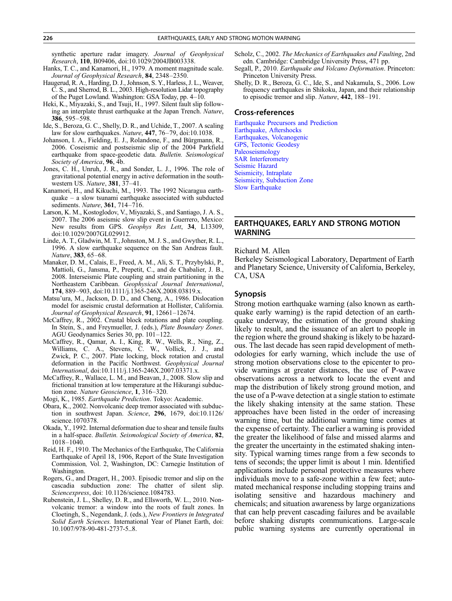synthetic aperture radar imagery. Journal of Geophysical Research, 110, B09406, doi:10.1029/2004JB003338.

- Hanks, T. C., and Kanamori, H., 1979. A moment magnitude scale. Journal of Geophysical Research, 84, 2348–2350.
- Haugerud, R. A., Harding, D. J., Johnson, S. Y., Harless, J. L., Weaver, C. S., and Sherrod, B. L., 2003. High-resolution Lidar topography of the Puget Lowland. Washington: GSA Today, pp. 4–10.
- Heki, K., Miyazaki, S., and Tsuji, H., 1997. Silent fault slip following an interplate thrust earthquake at the Japan Trench. Nature, 386, 595–598.
- Ide, S., Beroza, G. C., Shelly, D. R., and Uchide, T., 2007. A scaling law for slow earthquakes. Nature, 447, 76–79, doi:10.1038.
- Johanson, I. A., Fielding, E. J., Rolandone, F., and Bürgmann, R., 2006. Coseismic and postseismic slip of the 2004 Parkfield earthquake from space-geodetic data. Bulletin. Seismological Society of America, 96, 4b.
- Jones, C. H., Unruh, J. R., and Sonder, L. J., 1996. The role of gravitational potential energy in active deformation in the southwestern US. Nature, 381, 37–41.
- Kanamori, H., and Kikuchi, M., 1993. The 1992 Nicaragua earthquake – a slow tsunami earthquake associated with subducted sediments. Nature, 361, 714–716.
- Larson, K. M., Kostoglodov, V., Miyazaki, S., and Santiago, J. A. S., 2007. The 2006 aseismic slow slip event in Guerrero, Mexico: New results from GPS. Geophys Res Lett, 34, L13309, doi:10.1029/2007GL029912.
- Linde, A. T., Gladwin, M. T., Johnston, M. J. S., and Gwyther, R. L., 1996. A slow earthquake sequence on the San Andreas fault. Nature, 383, 65–68.
- Manaker, D. M., Calais, E., Freed, A. M., Ali, S. T., Przybylski, P., Mattioli, G., Jansma, P., Prepetit, C., and de Chabalier, J. B., 2008. Interseismic Plate coupling and strain partitioning in the Northeastern Caribbean. Geophysical Journal International, 174, 889–903, doi:10.1111/j.1365-246X.2008.03819.x.
- Matsu'ura, M., Jackson, D. D., and Cheng, A., 1986. Dislocation model for aseismic crustal deformation at Hollister, California. Journal of Geophysical Research, 91, 12661–12674.
- McCaffrey, R., 2002. Crustal block rotations and plate coupling. In Stein, S., and Freymueller, J. (eds.), Plate Boundary Zones. AGU Geodynamics Series 30, pp. 101–122.
- McCaffrey, R., Qamar, A. I., King, R. W., Wells, R., Ning, Z., Williams, C. A., Stevens, C. W., Vollick, J. J., and Zwick, P. C., 2007. Plate locking, block rotation and crustal deformation in the Pacific Northwest. Geophysical Journal International, doi:10.1111/j.1365-246X.2007.03371.x.
- McCaffrey, R., Wallace, L. M., and Beavan, J., 2008. Slow slip and frictional transition at low temperature at the Hikurangi subduction zone. Nature Geoscience, 1, 316–320.
- Mogi, K., 1985. Earthquake Prediction. Tokyo: Academic.
- Obara, K., 2002. Nonvolcanic deep tremor associated with subduction in southwest Japan. Science, 296, 1679, doi:10.1126/ science.1070378.
- Okada, Y., 1992. Internal deformation due to shear and tensile faults in a half-space. Bulletin. Seismological Society of America, 82, 1018–1040.
- Reid, H. F., 1910. The Mechanics of the Earthquake, The California Earthquake of April 18, 1906, Report of the State Investigation Commission, Vol. 2, Washington, DC: Carnegie Institution of Washington.
- Rogers, G., and Dragert, H., 2003. Episodic tremor and slip on the cascadia subduction zone: The chatter of silent slip. Sciencexpress, doi: 10.1126/science.1084783.
- <span id="page-0-0"></span>Rubenstein, J. L., Shelley, D. R., and Ellsworth, W. L., 2010. Nonvolcanic tremor: a window into the roots of fault zones. In Cloetingh, S., Negendank, J. (eds.), New Frontiers in Integrated Solid Earth Sciences. International Year of Planet Earth, doi: 10.1007/978-90-481-2737-5\_8.

Scholz, C., 2002. The Mechanics of Earthquakes and Faulting, 2nd edn. Cambridge: Cambridge University Press, 471 pp.

- Segall, P., 2010. Earthquake and Volcano Deformation. Princeton: Princeton University Press.
- Shelly, D. R., Beroza, G. C., Ide, S., and Nakamula, S., 2006. Low frequency earthquakes in Shikoku, Japan, and their relationship to episodic tremor and slip. Nature, 442, 188–191.

#### Cross-references

[Earthquake Precursors and Prediction](#page-0-0) [Earthquake, Aftershocks](#page-0-0) [Earthquakes, Volcanogenic](#page-0-0) GPS, Tectonic Geodesy Paleoseismology SAR Interferometry Seismic Hazard Seismicity, Intraplate Seismicity, Subduction Zone Slow Earthquake

# EARTHQUAKES, EARLY AND STRONG MOTION WARNING

### Richard M. Allen

Berkeley Seismological Laboratory, Department of Earth and Planetary Science, University of California, Berkeley, CA, USA

## Synopsis

Strong motion earthquake warning (also known as earthquake early warning) is the rapid detection of an earthquake underway, the estimation of the ground shaking likely to result, and the issuance of an alert to people in the region where the ground shaking is likely to be hazardous. The last decade has seen rapid development of methodologies for early warning, which include the use of strong motion observations close to the epicenter to provide warnings at greater distances, the use of P-wave observations across a network to locate the event and map the distribution of likely strong ground motion, and the use of a P-wave detection at a single station to estimate the likely shaking intensity at the same station. These approaches have been listed in the order of increasing warning time, but the additional warning time comes at the expense of certainty. The earlier a warning is provided the greater the likelihood of false and missed alarms and the greater the uncertainty in the estimated shaking intensity. Typical warning times range from a few seconds to tens of seconds; the upper limit is about 1 min. Identified applications include personal protective measures where individuals move to a safe-zone within a few feet; automated mechanical response including stopping trains and isolating sensitive and hazardous machinery and chemicals; and situation awareness by large organizations that can help prevent cascading failures and be available before shaking disrupts communications. Large-scale public warning systems are currently operational in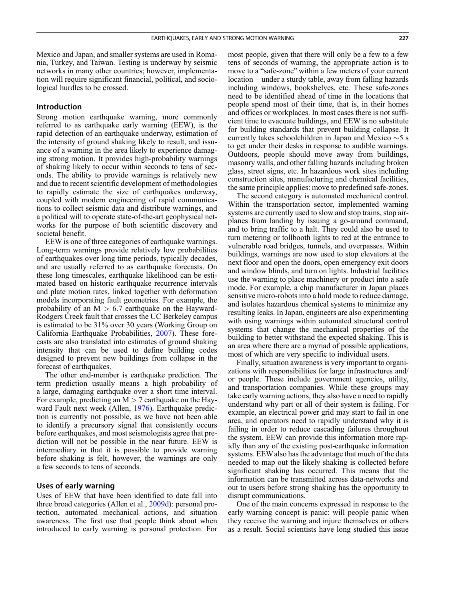Mexico and Japan, and smaller systems are used in Romania, Turkey, and Taiwan. Testing is underway by seismic networks in many other countries; however, implementation will require significant financial, political, and sociological hurdles to be crossed.

# Introduction

Strong motion earthquake warning, more commonly referred to as earthquake early warning (EEW), is the rapid detection of an earthquake underway, estimation of the intensity of ground shaking likely to result, and issuance of a warning in the area likely to experience damaging strong motion. It provides high-probability warnings of shaking likely to occur within seconds to tens of seconds. The ability to provide warnings is relatively new and due to recent scientific development of methodologies to rapidly estimate the size of earthquakes underway, coupled with modern engineering of rapid communications to collect seismic data and distribute warnings, and a political will to operate state-of-the-art geophysical networks for the purpose of both scientific discovery and societal benefit.

EEW is one of three categories of earthquake warnings. Long-term warnings provide relatively low probabilities of earthquakes over long time periods, typically decades, and are usually referred to as earthquake forecasts. On these long timescales, earthquake likelihood can be estimated based on historic earthquake recurrence intervals and plate motion rates, linked together with deformation models incorporating fault geometries. For example, the probability of an  $M > 6.7$  earthquake on the Hayward-Rodgers Creek fault that crosses the UC Berkeley campus is estimated to be 31% over 30 years (Working Group on California Earthquake Probabilities, [2007](#page-6-0)). These forecasts are also translated into estimates of ground shaking intensity that can be used to define building codes designed to prevent new buildings from collapse in the forecast of earthquakes.

The other end-member is earthquake prediction. The term prediction usually means a high probability of a large, damaging earthquake over a short time interval. For example, predicting an  $M > 7$  earthquake on the Hayward Fault next week (Allen, [1976](#page-6-0)). Earthquake prediction is currently not possible, as we have not been able to identify a precursory signal that consistently occurs before earthquakes, and most seismologists agree that prediction will not be possible in the near future. EEW is intermediary in that it is possible to provide warning before shaking is felt, however, the warnings are only a few seconds to tens of seconds.

### Uses of early warning

Uses of EEW that have been identified to date fall into three broad categories (Allen et al., [2009d\)](#page-6-0): personal protection, automated mechanical actions, and situation awareness. The first use that people think about when introduced to early warning is personal protection. For most people, given that there will only be a few to a few tens of seconds of warning, the appropriate action is to move to a "safe-zone" within a few meters of your current location – under a sturdy table, away from falling hazards including windows, bookshelves, etc. These safe-zones need to be identified ahead of time in the locations that people spend most of their time, that is, in their homes and offices or workplaces. In most cases there is not sufficient time to evacuate buildings, and EEW is no substitute for building standards that prevent building collapse. It currently takes schoolchildren in Japan and Mexico  $\sim$  5 s to get under their desks in response to audible warnings. Outdoors, people should move away from buildings, masonry walls, and other falling hazards including broken glass, street signs, etc. In hazardous work sites including construction sites, manufacturing and chemical facilities, the same principle applies: move to predefined safe-zones.

The second category is automated mechanical control. Within the transportation sector, implemented warning systems are currently used to slow and stop trains, stop airplanes from landing by issuing a go-around command, and to bring traffic to a halt. They could also be used to turn metering or tollbooth lights to red at the entrance to vulnerable road bridges, tunnels, and overpasses. Within buildings, warnings are now used to stop elevators at the next floor and open the doors, open emergency exit doors and window blinds, and turn on lights. Industrial facilities use the warning to place machinery or product into a safe mode. For example, a chip manufacturer in Japan places sensitive micro-robots into a hold mode to reduce damage, and isolates hazardous chemical systems to minimize any resulting leaks. In Japan, engineers are also experimenting with using warnings within automated structural control systems that change the mechanical properties of the building to better withstand the expected shaking. This is an area where there are a myriad of possible applications, most of which are very specific to individual users.

Finally, situation awareness is very important to organizations with responsibilities for large infrastructures and/ or people. These include government agencies, utility, and transportation companies. While these groups may take early warning actions, they also have a need to rapidly understand why part or all of their system is failing. For example, an electrical power grid may start to fail in one area, and operators need to rapidly understand why it is failing in order to reduce cascading failures throughout the system. EEW can provide this information more rapidly than any of the existing post-earthquake information systems. EEWalso has the advantage that much of the data needed to map out the likely shaking is collected before significant shaking has occurred. This means that the information can be transmitted across data-networks and out to users before strong shaking has the opportunity to disrupt communications.

One of the main concerns expressed in response to the early warning concept is panic: will people panic when they receive the warning and injure themselves or others as a result. Social scientists have long studied this issue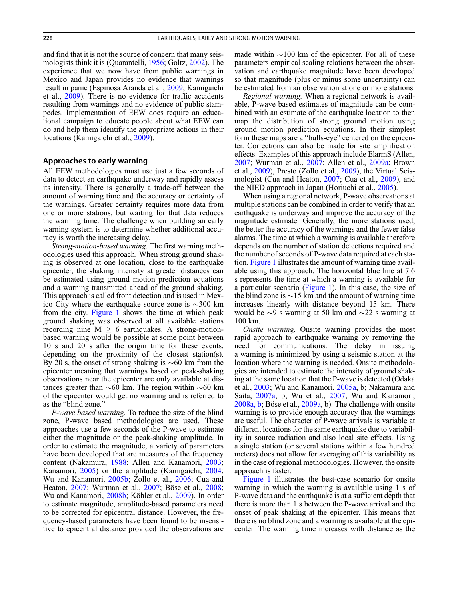and find that it is not the source of concern that many seismologists think it is (Quarantelli, [1956](#page-6-0); Goltz, [2002](#page-6-0)). The experience that we now have from public warnings in Mexico and Japan provides no evidence that warnings result in panic (Espinosa Aranda et al., [2009](#page-6-0); Kamigaichi et al., [2009](#page-6-0)). There is no evidence for traffic accidents resulting from warnings and no evidence of public stampedes. Implementation of EEW does require an educational campaign to educate people about what EEW can do and help them identify the appropriate actions in their locations (Kamigaichi et al., [2009](#page-6-0)).

## Approaches to early warning

All EEW methodologies must use just a few seconds of data to detect an earthquake underway and rapidly assess its intensity. There is generally a trade-off between the amount of warning time and the accuracy or certainty of the warnings. Greater certainty requires more data from one or more stations, but waiting for that data reduces the warning time. The challenge when building an early warning system is to determine whether additional accuracy is worth the increasing delay.

Strong-motion-based warning. The first warning methodologies used this approach. When strong ground shaking is observed at one location, close to the earthquake epicenter, the shaking intensity at greater distances can be estimated using ground motion prediction equations and a warning transmitted ahead of the ground shaking. This approach is called front detection and is used in Mexico City where the earthquake source zone is  $\sim$ 300 km from the city. [Figure 1](#page-3-0) shows the time at which peak ground shaking was observed at all available stations recording nine  $M \geq 6$  earthquakes. A strong-motionbased warning would be possible at some point between 10 s and 20 s after the origin time for these events, depending on the proximity of the closest station(s). By 20 s, the onset of strong shaking is  $\sim 60$  km from the epicenter meaning that warnings based on peak-shaking observations near the epicenter are only available at distances greater than  $~60$  km. The region within  $~60$  km of the epicenter would get no warning and is referred to as the "blind zone."

P-wave based warning. To reduce the size of the blind zone, P-wave based methodologies are used. These approaches use a few seconds of the P-wave to estimate either the magnitude or the peak-shaking amplitude. In order to estimate the magnitude, a variety of parameters have been developed that are measures of the frequency content (Nakamura, [1988;](#page-6-0) Allen and Kanamori, [2003;](#page-6-0) Kanamori, [2005](#page-6-0)) or the amplitude (Kamigaichi, [2004;](#page-6-0) Wu and Kanamori, [2005b](#page-6-0); Zollo et al., [2006;](#page-7-0) Cua and Heaton, [2007](#page-6-0); Wurman et al., [2007;](#page-7-0) Böse et al., [2008;](#page-6-0) Wu and Kanamori, [2008b](#page-7-0); Köhler et al., [2009\)](#page-6-0). In order to estimate magnitude, amplitude-based parameters need to be corrected for epicentral distance. However, the frequency-based parameters have been found to be insensitive to epicentral distance provided the observations are

made within  $\sim$ 100 km of the epicenter. For all of these parameters empirical scaling relations between the observation and earthquake magnitude have been developed so that magnitude (plus or minus some uncertainty) can be estimated from an observation at one or more stations.

Regional warning. When a regional network is available, P-wave based estimates of magnitude can be combined with an estimate of the earthquake location to then map the distribution of strong ground motion using ground motion prediction equations. In their simplest form these maps are a "bulls-eye" centered on the epicenter. Corrections can also be made for site amplification effects. Examples of this approach include ElarmS (Allen, [2007;](#page-6-0) Wurman et al., [2007](#page-7-0); Allen et al., [2009a](#page-6-0); Brown et al., [2009](#page-6-0)), Presto (Zollo et al., [2009\)](#page-7-0), the Virtual Seismologist (Cua and Heaton, [2007;](#page-6-0) Cua et al., [2009\)](#page-6-0), and the NIED approach in Japan (Horiuchi et al., [2005\)](#page-6-0).

When using a regional network, P-wave observations at multiple stations can be combined in order to verify that an earthquake is underway and improve the accuracy of the magnitude estimate. Generally, the more stations used, the better the accuracy of the warnings and the fewer false alarms. The time at which a warning is available therefore depends on the number of station detections required and the number of seconds of P-wave data required at each station. [Figure 1](#page-3-0) illustrates the amount of warning time available using this approach. The horizontal blue line at 7.6 s represents the time at which a warning is available for a particular scenario ([Figure 1\)](#page-3-0). In this case, the size of the blind zone is  $\sim$ 15 km and the amount of warning time increases linearly with distance beyond 15 km. There would be  $\sim$ 9 s warning at 50 km and  $\sim$ 22 s warning at 100 km.

Onsite warning. Onsite warning provides the most rapid approach to earthquake warning by removing the need for communications. The delay in issuing a warning is minimized by using a seismic station at the location where the warning is needed. Onsite methodologies are intended to estimate the intensity of ground shaking at the same location that the P-wave is detected (Odaka et al., [2003;](#page-6-0) Wu and Kanamori, [2005a](#page-6-0), b; Nakamura and Saita, [2007a,](#page-6-0) b; Wu et al., [2007](#page-7-0); Wu and Kanamori, [2008a, b;](#page-6-0) Böse et al., [2009a,](#page-6-0) b). The challenge with onsite warning is to provide enough accuracy that the warnings are useful. The character of P-wave arrivals is variable at different locations for the same earthquake due to variability in source radiation and also local site effects. Using a single station (or several stations within a few hundred meters) does not allow for averaging of this variability as in the case of regional methodologies. However, the onsite approach is faster.

[Figure 1](#page-3-0) illustrates the best-case scenario for onsite warning in which the warning is available using 1 s of P-wave data and the earthquake is at a sufficient depth that there is more than 1 s between the P-wave arrival and the onset of peak shaking at the epicenter. This means that there is no blind zone and a warning is available at the epicenter. The warning time increases with distance as the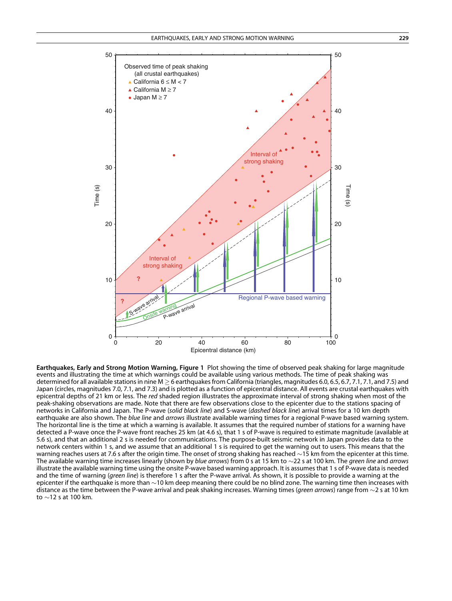

<span id="page-3-0"></span>Earthquakes, Early and Strong Motion Warning, Figure 1 Plot showing the time of observed peak shaking for large magnitude events and illustrating the time at which warnings could be available using various methods. The time of peak shaking was determined for all available stations in nine  $M \ge 6$  earthquakes from California (triangles, magnitudes 6.0, 6.5, 6.7, 7.1, 7.1, and 7.5) and Japan (circles, magnitudes 7.0, 7.1, and 7.3) and is plotted as a function of epicentral distance. All events are crustal earthquakes with epicentral depths of 21 km or less. The red shaded region illustrates the approximate interval of strong shaking when most of the peak-shaking observations are made. Note that there are few observations close to the epicenter due to the stations spacing of networks in California and Japan. The P-wave (solid black line) and S-wave (dashed black line) arrival times for a 10 km depth earthquake are also shown. The blue line and arrows illustrate available warning times for a regional P-wave based warning system. The horizontal line is the time at which a warning is available. It assumes that the required number of stations for a warning have detected a P-wave once the P-wave front reaches 25 km (at 4.6 s), that 1 s of P-wave is required to estimate magnitude (available at 5.6 s), and that an additional 2 s is needed for communications. The purpose-built seismic network in Japan provides data to the network centers within 1 s, and we assume that an additional 1 s is required to get the warning out to users. This means that the warning reaches users at 7.6 s after the origin time. The onset of strong shaking has reached  $\sim$ 15 km from the epicenter at this time. The available warning time increases linearly (shown by blue arrows) from 0 s at 15 km to  $\sim$ 22 s at 100 km. The green line and arrows illustrate the available warning time using the onsite P-wave based warning approach. It is assumes that 1 s of P-wave data is needed and the time of warning (green line) is therefore 1 s after the P-wave arrival. As shown, it is possible to provide a warning at the epicenter if the earthquake is more than  $\sim$ 10 km deep meaning there could be no blind zone. The warning time then increases with distance as the time between the P-wave arrival and peak shaking increases. Warning times (*green arrows*) range from  $\sim$ 2 s at 10 km to  $\sim$ 12 s at 100 km.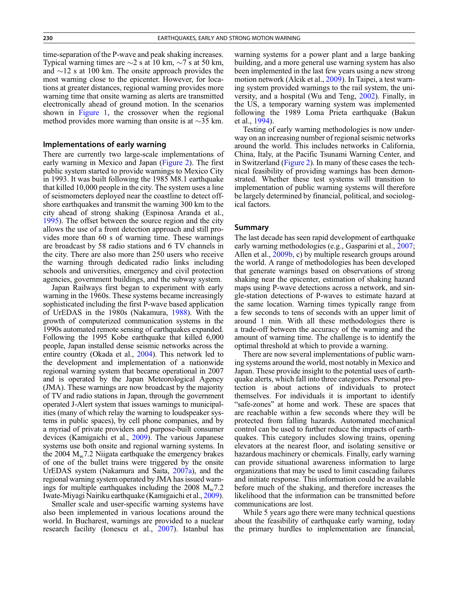time-separation of the P-wave and peak shaking increases. Typical warning times are  $\sim$ 2 s at 10 km,  $\sim$ 7 s at 50 km, and  $\sim$ 12 s at 100 km. The onsite approach provides the most warning close to the epicenter. However, for locations at greater distances, regional warning provides more warning time that onsite warning as alerts are transmitted electronically ahead of ground motion. In the scenarios shown in [Figure 1,](#page-3-0) the crossover when the regional method provides more warning than onsite is at  $\sim$ 35 km.

# Implementations of early warning

There are currently two large-scale implementations of early warning in Mexico and Japan ([Figure 2](#page-5-0)). The first public system started to provide warnings to Mexico City in 1993. It was built following the 1985 M8.1 earthquake that killed 10,000 people in the city. The system uses a line of seismometers deployed near the coastline to detect offshore earthquakes and transmit the warning 300 km to the city ahead of strong shaking (Espinosa Aranda et al., [1995\)](#page-6-0). The offset between the source region and the city allows the use of a front detection approach and still provides more than 60 s of warning time. These warnings are broadcast by 58 radio stations and 6 TV channels in the city. There are also more than 250 users who receive the warning through dedicated radio links including schools and universities, emergency and civil protection agencies, government buildings, and the subway system.

Japan Railways first began to experiment with early warning in the 1960s. These systems became increasingly sophisticated including the first P-wave based application of UrEDAS in the 1980s (Nakamura, [1988](#page-6-0)). With the growth of computerized communication systems in the 1990s automated remote sensing of earthquakes expanded. Following the 1995 Kobe earthquake that killed 6,000 people, Japan installed dense seismic networks across the entire country (Okada et al., [2004\)](#page-6-0). This network led to the development and implementation of a nationwide regional warning system that became operational in 2007 and is operated by the Japan Meteorological Agency (JMA). These warnings are now broadcast by the majority of TV and radio stations in Japan, through the government operated J-Alert system that issues warnings to municipalities (many of which relay the warning to loudspeaker systems in public spaces), by cell phone companies, and by a myriad of private providers and purpose-built consumer devices (Kamigaichi et al., [2009\)](#page-6-0). The various Japanese systems use both onsite and regional warning systems. In the 2004  $M_w$ 7.2 Niigata earthquake the emergency brakes of one of the bullet trains were triggered by the onsite UrEDAS system (Nakamura and Saita, [2007a\)](#page-6-0), and the regional warning system operated by JMA has issued warnings for multiple earthquakes including the 2008  $M_{\rm w}$ 7.2 Iwate-Miyagi Nairiku earthquake (Kamigaichi et al., [2009\)](#page-6-0).

Smaller scale and user-specific warning systems have also been implemented in various locations around the world. In Bucharest, warnings are provided to a nuclear research facility (Ionescu et al., [2007\)](#page-6-0). Istanbul has

warning systems for a power plant and a large banking building, and a more general use warning system has also been implemented in the last few years using a new strong motion network (Alcik et al., [2009](#page-6-0)). In Taipei, a test warning system provided warnings to the rail system, the university, and a hospital (Wu and Teng, [2002](#page-7-0)). Finally, in the US, a temporary warning system was implemented following the 1989 Loma Prieta earthquake (Bakun et al., [1994](#page-6-0)).

Testing of early warning methodologies is now underway on an increasing number of regional seismic networks around the world. This includes networks in California, China, Italy, at the Pacific Tsunami Warning Center, and in Switzerland [\(Figure 2\)](#page-5-0). In many of these cases the technical feasibility of providing warnings has been demonstrated. Whether these test systems will transition to implementation of public warning systems will therefore be largely determined by financial, political, and sociological factors.

#### Summary

The last decade has seen rapid development of earthquake early warning methodologies (e.g., Gasparini et al., [2007](#page-6-0); Allen et al., [2009b](#page-6-0), c) by multiple research groups around the world. A range of methodologies has been developed that generate warnings based on observations of strong shaking near the epicenter, estimation of shaking hazard maps using P-wave detections across a network, and single-station detections of P-waves to estimate hazard at the same location. Warning times typically range from a few seconds to tens of seconds with an upper limit of around 1 min. With all these methodologies there is a trade-off between the accuracy of the warning and the amount of warning time. The challenge is to identify the optimal threshold at which to provide a warning.

There are now several implementations of public warning systems around the world, most notably in Mexico and Japan. These provide insight to the potential uses of earthquake alerts, which fall into three categories. Personal protection is about actions of individuals to protect themselves. For individuals it is important to identify "safe-zones" at home and work. These are spaces that are reachable within a few seconds where they will be protected from falling hazards. Automated mechanical control can be used to further reduce the impacts of earthquakes. This category includes slowing trains, opening elevators at the nearest floor, and isolating sensitive or hazardous machinery or chemicals. Finally, early warning can provide situational awareness information to large organizations that may be used to limit cascading failures and initiate response. This information could be available before much of the shaking, and therefore increases the likelihood that the information can be transmitted before communications are lost.

While 5 years ago there were many technical questions about the feasibility of earthquake early warning, today the primary hurdles to implementation are financial,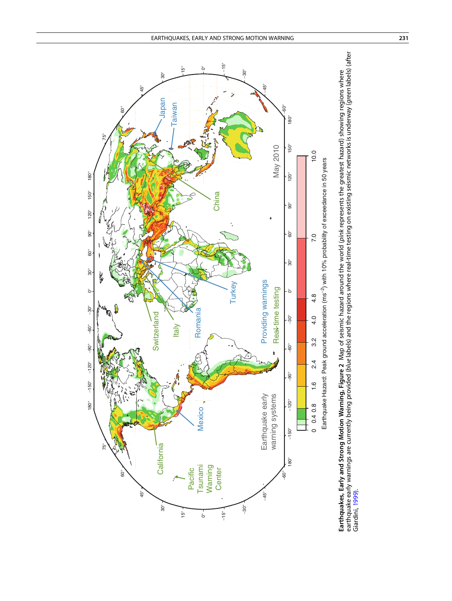<span id="page-5-0"></span>

**Earthquakes, Early and Strong Motion Warning, Figure 2** Map of seismic hazard around the world (pink represents the greatest hazard) showing regions where<br>earthquake early warnings are currently being provided (blue label earthquake early warnings are currently being provided (blue labels) and the regions where real-time testing on existing seismic networks is underway (green labels) (after Giardini, [1999\)](#page-6-0).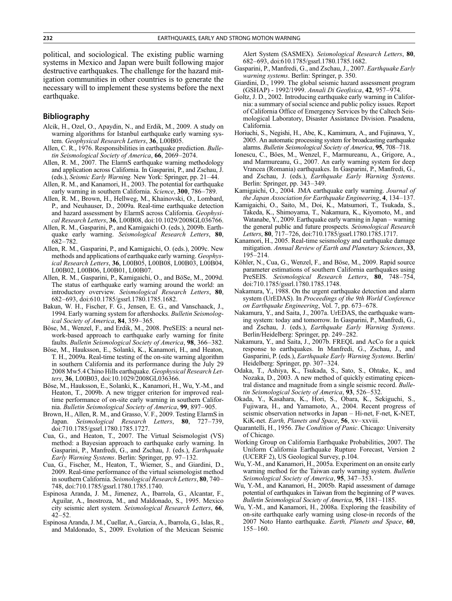political, and sociological. The existing public warning systems in Mexico and Japan were built following major destructive earthquakes. The challenge for the hazard mitigation communities in other countries is to generate the necessary will to implement these systems before the next earthquake.

# Bibliography

- Alcik, H., Ozel, O., Apaydin, N., and Erdik, M., 2009. A study on warning algorithms for Istanbul earthquake early warning system. Geophysical Research Letters, 36, L00B05.
- Allen, C. R., 1976. Responsibilities in earthquake prediction. Bulletin Seismological Society of America, 66, 2069–2074.
- Allen, R. M., 2007. The ElarmS earthquake warning methodology and application across California. In Gasparini, P., and Zschau, J. (eds.), Seismic Early Warning. New York: Springer, pp. 21–44.
- Allen, R. M., and Kanamori, H., 2003. The potential for earthquake early warning in southern California. Science, 300, 786–789.
- Allen, R. M., Brown, H., Hellweg, M., Khainovski, O., Lombard, P., and Neuhauser, D., 2009a. Real-time earthquake detection and hazard assessment by ElarmS across California. Geophysical Research Letters, 36, L00B08, doi:10.1029/2008GL036766.
- Allen, R. M., Gasparini, P., and Kamigaichi O. (eds.), 2009b. Earthquake early warning. Seismological Research Letters, 80, 682–782.
- Allen, R. M., Gasparini, P., and Kamigaichi, O. (eds.), 2009c. New methods and applications of earthquake early warning. Geophysical Research Letters, 36, L00B05, L00B08, L00B03, L00B04, L00B02, L00B06, L00B01, L00B07.
- Allen, R. M., Gasparini, P., Kamigaichi, O., and BöSe, M., 2009d. The status of earthquake early warning around the world: an introductory overview. Seismological Research Letters, 80, 682–693, doi:610.1785/gssrl.1780.1785.1682.
- Bakun, W. H., Fischer, F. G., Jensen, E. G., and Vanschaack, J., 1994. Early warning system for aftershocks. Bulletin Seismological Society of America, 84, 359–365.
- Böse, M., Wenzel, F., and Erdik, M., 2008. PreSEIS: a neural network-based approach to earthquake early warning for finite faults. Bulletin Seismological Society of America, 98, 366–382.
- Böse, M., Hauksson, E., Solanki, K., Kanamori, H., and Heaton, T. H., 2009a. Real-time testing of the on-site warning algorithm in southern California and its performance during the July 29 2008 Mw5.4 Chino Hills earthquake. Geophysical Research Letters, 36, L00B03, doi:10.1029/2008GL036366.
- Böse, M., Hauksson, E., Solanki, K., Kanamori, H., Wu, Y.-M., and Heaton, T., 2009b. A new trigger criterion for improved realtime performance of on-site early warning in southern California. Bulletin Seismological Society of America, 99, 897–905.
- Brown, H., Allen, R. M., and Grasso, V. F., 2009. Testing ElarmS in Japan. Seismological Research Letters, 80, 727–739, doi:710.1785/gssrl.1780.1785.1727.
- Cua, G., and Heaton, T., 2007. The Virtual Seismologist (VS) method: a Bayesian approach to earthquake early warning. In Gasparini, P., Manfredi, G., and Zschau, J. (eds.), Earthquake Early Warning Systems. Berlin: Springer, pp. 97–132.
- Cua, G., Fischer, M., Heaton, T., Wiemer, S., and Giardini, D., 2009. Real-time performance of the virtual seismologist method in southern California. Seismological Research Letters, 80, 740– 748, doi:710.1785/gssrl.1780.1785.1740.
- Espinosa Aranda, J. M., Jimenez, A., Ibarrola, G., Alcantar, F., Aguilar, A., Inostroza, M., and Maldonado, S., 1995. Mexico city seismic alert system. Seismological Research Letters, 66, 42–52.
- <span id="page-6-0"></span>Espinosa Aranda, J. M., Cuellar, A., Garcia, A., Ibarrola, G., Islas, R., and Maldonado, S., 2009. Evolution of the Mexican Seismic

Alert System (SASMEX). Seismological Research Letters, 80, 682–693, doi:610.1785/gssrl.1780.1785.1682.

- Gasparini, P., Manfredi, G., and Zschau, J., 2007. Earthquake Early warning systems. Berlin: Springer, p. 350.
- Giardini, D., 1999. The global seismic hazard assessment program (GSHAP) - 1992/1999. Annali Di Geofisica, 42, 957–974.
- Goltz, J. D., 2002. Introducing earthquake early warning in California: a summary of social science and public policy issues. Report of California Office of Emergency Services by the Caltech Seismological Laboratory, Disaster Assistance Division. Pasadena, California.
- Horiuchi, S., Negishi, H., Abe, K., Kamimura, A., and Fujinawa, Y., 2005. An automatic processing system for broadcasting earthquake alarms. Bulletin Seismological Society of America, 95, 708–718.
- Ionescu, C., Böes, M., Wenzel, F., Marmureanu, A., Grigore, A., and Marmureanu, G., 2007. An early warning system for deep Vrancea (Romania) earthquakes. In Gasparini, P., Manfredi, G., and Zschau, J. (eds.), Earthquake Early Warning Systems. Berlin: Springer, pp. 343–349.
- Kamigaichi, O., 2004. JMA earthquake early warning. Journal of the Japan Association for Earthquake Engineering, 4, 134–137.
- Kamigaichi, O., Saito, M., Doi, K., Matsumori, T., Tsukada, S., Takeda, K., Shimoyama, T., Nakamura, K., Kiyomoto, M., and Watanabe, Y., 2009. Earthquake early warning in Japan – warning the general public and future prospects. Seismological Research Letters, 80, 717–726, doi:710.1785/gssrl.1780.1785.1717.
- Kanamori, H., 2005. Real-time seismology and earthquake damage mitigation. Annual Review of Earth and Planetary Sciences, 33, 195–214.
- Köhler, N., Cua, G., Wenzel, F., and Böse, M., 2009. Rapid source parameter estimations of southern California earthquakes using PreSEIS. Seismological Research Letters, 80, 748–754, doi:710.1785/gssrl.1780.1785.1748.
- Nakamura, Y., 1988. On the urgent earthquake detection and alarm system (UrEDAS). In Proceedings of the 9th World Conference on Earthquake Engineering, Vol. 7, pp. 673–678.
- Nakamura,  $\bar{Y}$ , and Saita, J., 2007a. UrEDAS, the earthquake warning system: today and tomorrow. In Gasparini, P., Manfredi, G., and Zschau, J. (eds.), Earthquake Early Warning Systems. Berlin/Heidelberg: Springer, pp. 249–282.
- Nakamura, Y., and Saita, J., 2007b. FREQL and AcCo for a quick response to earthquakes. In Manfredi, G., Zschau, J., and Gasparini, P. (eds.), Earthquake Early Warning Systems. Berlin/ Heidelberg: Springer, pp. 307–324.
- Odaka, T., Ashiya, K., Tsukada, S., Sato, S., Ohtake, K., and Nozaka, D., 2003. A new method of quickly estimating epicentral distance and magnitude from a single seismic record. Bulletin Seismological Society of America, 93, 526–532.
- Okada, Y., Kasahara, K., Hori, S., Obara, K., Sekiguchi, S., Fujiwara, H., and Yamamoto, A., 2004. Recent progress of seismic observation networks in Japan – Hi-net, F-net, K-NET, KiK-net. Earth, Planets and Space, 56, xv-xxviii.
- Quarantelli, H., 1956. The Condition of Panic. Chicago: University of Chicago.
- Working Group on California Earthquake Probabilities, 2007. The Uniform California Earthquake Rupture Forecast, Version 2 (UCERF 2), US Geological Survey, p.104.
- Wu, Y.-M., and Kanamori, H., 2005a. Experiment on an onsite early warning method for the Taiwan early warning system. Bulletin Seismological Society of America, 95, 347–353.
- Wu, Y.-M., and Kanamori, H., 2005b. Rapid assessment of damage potential of earthquakes in Taiwan from the beginning of P waves. Bulletin Seismological Society of America, 95, 1181–1185.
- Wu, Y.-M., and Kanamori, H., 2008a. Exploring the feasibility of on-site earthquake early warning using close-in records of the 2007 Noto Hanto earthquake. Earth, Planets and Space, 60, 155–160.